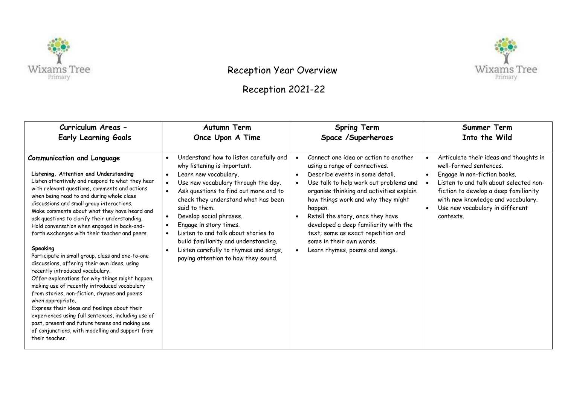



## Reception Year Overview

## Reception 2021-22

| Curriculum Areas -                                                                                                                                                                                                                                                                                                                                                                                                                                                                                                                                                                                                                                                                                                                                                                                                                                                                                                                                                                                                                  | <b>Autumn Term</b>                                                                                                                                                                                                                                                                                                                                                                                                                                                      | <b>Spring Term</b>                                                                                                                                                                                                                                                                                                                                                                                                                             | Summer Term                                                                                                                                                                                                                                                               |
|-------------------------------------------------------------------------------------------------------------------------------------------------------------------------------------------------------------------------------------------------------------------------------------------------------------------------------------------------------------------------------------------------------------------------------------------------------------------------------------------------------------------------------------------------------------------------------------------------------------------------------------------------------------------------------------------------------------------------------------------------------------------------------------------------------------------------------------------------------------------------------------------------------------------------------------------------------------------------------------------------------------------------------------|-------------------------------------------------------------------------------------------------------------------------------------------------------------------------------------------------------------------------------------------------------------------------------------------------------------------------------------------------------------------------------------------------------------------------------------------------------------------------|------------------------------------------------------------------------------------------------------------------------------------------------------------------------------------------------------------------------------------------------------------------------------------------------------------------------------------------------------------------------------------------------------------------------------------------------|---------------------------------------------------------------------------------------------------------------------------------------------------------------------------------------------------------------------------------------------------------------------------|
| <b>Early Learning Goals</b>                                                                                                                                                                                                                                                                                                                                                                                                                                                                                                                                                                                                                                                                                                                                                                                                                                                                                                                                                                                                         | Once Upon A Time                                                                                                                                                                                                                                                                                                                                                                                                                                                        | Space /Superheroes                                                                                                                                                                                                                                                                                                                                                                                                                             | Into the Wild                                                                                                                                                                                                                                                             |
| <b>Communication and Language</b><br>Listening, Attention and Understanding<br>Listen attentively and respond to what they hear<br>with relevant questions, comments and actions<br>when being read to and during whole class<br>discussions and small group interactions.<br>Make comments about what they have heard and<br>ask questions to clarify their understanding.<br>Hold conversation when engaged in back-and-<br>forth exchanges with their teacher and peers.<br>Speaking<br>Participate in small group, class and one-to-one<br>discussions, offering their own ideas, using<br>recently introduced vocabulary.<br>Offer explanations for why things might happen,<br>making use of recently introduced vocabulary<br>from stories, non-fiction, rhymes and poems<br>when appropriate.<br>Express their ideas and feelings about their<br>experiences using full sentences, including use of<br>past, present and future tenses and making use<br>of conjunctions, with modelling and support from<br>their teacher. | Understand how to listen carefully and<br>$\bullet$<br>why listening is important.<br>Learn new vocabulary.<br>Use new vocabulary through the day.<br>Ask questions to find out more and to<br>check they understand what has been<br>said to them.<br>Develop social phrases.<br>Engage in story times.<br>Listen to and talk about stories to<br>build familiarity and understanding.<br>Listen carefully to rhymes and songs,<br>paying attention to how they sound. | Connect one idea or action to another<br>using a range of connectives.<br>Describe events in some detail.<br>Use talk to help work out problems and<br>organise thinking and activities explain<br>how things work and why they might<br>happen.<br>Retell the story, once they have<br>developed a deep familiarity with the<br>text; some as exact repetition and<br>some in their own words.<br>Learn rhymes, poems and songs.<br>$\bullet$ | Articulate their ideas and thoughts in<br>well-formed sentences.<br>Engage in non-fiction books.<br>Listen to and talk about selected non-<br>fiction to develop a deep familiarity<br>with new knowledge and vocabulary.<br>Use new vocabulary in different<br>contexts. |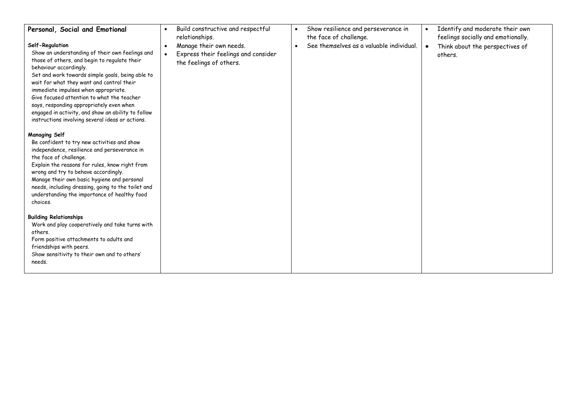| Personal, Social and Emotional<br>Self-Regulation<br>Show an understanding of their own feelings and<br>those of others, and begin to regulate their<br>behaviour accordingly.<br>Set and work towards simple goals, being able to<br>wait for what they want and control their<br>immediate impulses when appropriate.<br>Give focused attention to what the teacher<br>says, responding appropriately even when<br>engaged in activity, and show an ability to follow<br>instructions involving several ideas or actions. | Build constructive and respectful<br>$\bullet$<br>relationships.<br>Manage their own needs.<br>$\bullet$<br>Express their feelings and consider<br>the feelings of others. | Show resilience and perseverance in<br>$\bullet$<br>the face of challenge.<br>See themselves as a valuable individual.<br>$\bullet$ | Identify and moderate their own<br>$\bullet$<br>feelings socially and emotionally.<br>Think about the perspectives of<br>others. |
|-----------------------------------------------------------------------------------------------------------------------------------------------------------------------------------------------------------------------------------------------------------------------------------------------------------------------------------------------------------------------------------------------------------------------------------------------------------------------------------------------------------------------------|----------------------------------------------------------------------------------------------------------------------------------------------------------------------------|-------------------------------------------------------------------------------------------------------------------------------------|----------------------------------------------------------------------------------------------------------------------------------|
| <b>Managing Self</b><br>Be confident to try new activities and show<br>independence, resilience and perseverance in<br>the face of challenge.<br>Explain the reasons for rules, know right from<br>wrong and try to behave accordingly.<br>Manage their own basic hygiene and personal<br>needs, including dressing, going to the toilet and<br>understanding the importance of healthy food<br>choices.                                                                                                                    |                                                                                                                                                                            |                                                                                                                                     |                                                                                                                                  |
| <b>Building Relationships</b><br>Work and play cooperatively and take turns with<br>others.<br>Form positive attachments to adults and<br>friendships with peers.<br>Show sensitivity to their own and to others'<br>needs.                                                                                                                                                                                                                                                                                                 |                                                                                                                                                                            |                                                                                                                                     |                                                                                                                                  |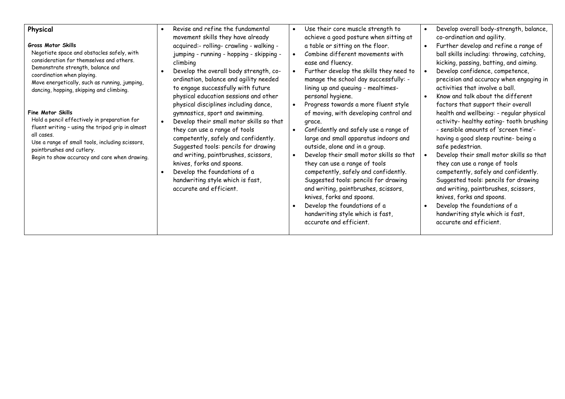| Physical<br><b>Gross Motor Skills</b><br>Negotiate space and obstacles safely, with<br>consideration for themselves and others.<br>Demonstrate strength, balance and<br>coordination when playing.<br>Move energetically, such as running, jumping,<br>dancing, hopping, skipping and climbing.<br><b>Fine Motor Skills</b><br>Hold a pencil effectively in preparation for<br>fluent writing - using the tripod grip in almost<br>all cases.<br>Use a range of small tools, including scissors,<br>paintbrushes and cutlery.<br>Begin to show accuracy and care when drawing. | Revise and refine the fundamental<br>$\bullet$<br>movement skills they have already<br>acquired:- rolling- crawling - walking -<br>jumping - running - hopping - skipping -<br>climbing<br>Develop the overall body strength, co-<br>ordination, balance and agility needed<br>to engage successfully with future<br>physical education sessions and other<br>physical disciplines including dance,<br>gymnastics, sport and swimming.<br>Develop their small motor skills so that<br>they can use a range of tools<br>competently, safely and confidently.<br>Suggested tools: pencils for drawing<br>and writing, paintbrushes, scissors,<br>knives, forks and spoons.<br>Develop the foundations of a<br>handwriting style which is fast,<br>accurate and efficient. | Use their core muscle strength to<br>$\bullet$<br>achieve a good posture when sitting at<br>a table or sitting on the floor.<br>Combine different movements with<br>$\bullet$<br>ease and fluency.<br>Further develop the skills they need to<br>manage the school day successfully: -<br>lining up and queuing - mealtimes-<br>personal hygiene.<br>Progress towards a more fluent style<br>of moving, with developing control and<br>grace.<br>Confidently and safely use a range of<br>$\bullet$<br>large and small apparatus indoors and<br>outside, alone and in a group.<br>Develop their small motor skills so that<br>$\bullet$<br>they can use a range of tools<br>competently, safely and confidently.<br>Suggested tools: pencils for drawing<br>and writing, paintbrushes, scissors,<br>knives, forks and spoons.<br>Develop the foundations of a<br>handwriting style which is fast,<br>accurate and efficient. | Develop overall body-strength, balance,<br>$\bullet$<br>co-ordination and agility.<br>Further develop and refine a range of<br>$\bullet$<br>ball skills including: throwing, catching,<br>kicking, passing, batting, and aiming.<br>Develop confidence, competence,<br>precision and accuracy when engaging in<br>activities that involve a ball.<br>Know and talk about the different<br>$\bullet$<br>factors that support their overall<br>health and wellbeing: - regular physical<br>activity- healthy eating- tooth brushing<br>- sensible amounts of 'screen time'-<br>having a good sleep routine- being a<br>safe pedestrian.<br>Develop their small motor skills so that<br>they can use a range of tools<br>competently, safely and confidently.<br>Suggested tools: pencils for drawing<br>and writing, paintbrushes, scissors,<br>knives, forks and spoons.<br>Develop the foundations of a<br>$\bullet$<br>handwriting style which is fast,<br>accurate and efficient. |
|--------------------------------------------------------------------------------------------------------------------------------------------------------------------------------------------------------------------------------------------------------------------------------------------------------------------------------------------------------------------------------------------------------------------------------------------------------------------------------------------------------------------------------------------------------------------------------|-------------------------------------------------------------------------------------------------------------------------------------------------------------------------------------------------------------------------------------------------------------------------------------------------------------------------------------------------------------------------------------------------------------------------------------------------------------------------------------------------------------------------------------------------------------------------------------------------------------------------------------------------------------------------------------------------------------------------------------------------------------------------|------------------------------------------------------------------------------------------------------------------------------------------------------------------------------------------------------------------------------------------------------------------------------------------------------------------------------------------------------------------------------------------------------------------------------------------------------------------------------------------------------------------------------------------------------------------------------------------------------------------------------------------------------------------------------------------------------------------------------------------------------------------------------------------------------------------------------------------------------------------------------------------------------------------------------|-------------------------------------------------------------------------------------------------------------------------------------------------------------------------------------------------------------------------------------------------------------------------------------------------------------------------------------------------------------------------------------------------------------------------------------------------------------------------------------------------------------------------------------------------------------------------------------------------------------------------------------------------------------------------------------------------------------------------------------------------------------------------------------------------------------------------------------------------------------------------------------------------------------------------------------------------------------------------------------|
|                                                                                                                                                                                                                                                                                                                                                                                                                                                                                                                                                                                |                                                                                                                                                                                                                                                                                                                                                                                                                                                                                                                                                                                                                                                                                                                                                                         |                                                                                                                                                                                                                                                                                                                                                                                                                                                                                                                                                                                                                                                                                                                                                                                                                                                                                                                              |                                                                                                                                                                                                                                                                                                                                                                                                                                                                                                                                                                                                                                                                                                                                                                                                                                                                                                                                                                                     |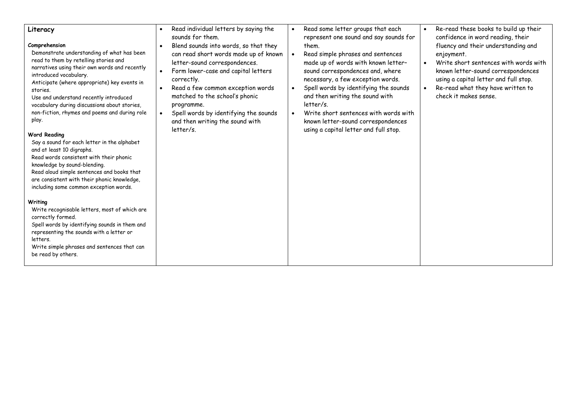| Literacy<br>Comprehension<br>Demonstrate understanding of what has been<br>read to them by retelling stories and<br>narratives using their own words and recently<br>introduced vocabulary.<br>Anticipate (where appropriate) key events in<br>stories.<br>Use and understand recently introduced<br>vocabulary during discussions about stories,<br>non-fiction, rhymes and poems and during role<br>play.<br><b>Word Reading</b><br>Say a sound for each letter in the alphabet<br>and at least 10 digraphs.<br>Read words consistent with their phonic<br>knowledge by sound-blending.<br>Read aloud simple sentences and books that<br>are consistent with their phonic knowledge,<br>including some common exception words.<br>Writing<br>Write recognisable letters, most of which are | Read individual letters by saying the<br>$\bullet$<br>sounds for them.<br>Blend sounds into words, so that they<br>$\bullet$<br>can read short words made up of known<br>letter-sound correspondences.<br>Form lower-case and capital letters<br>correctly.<br>Read a few common exception words<br>matched to the school's phonic<br>programme.<br>Spell words by identifying the sounds<br>and then writing the sound with<br>letter/s. | Read some letter groups that each<br>represent one sound and say sounds for<br>them.<br>Read simple phrases and sentences<br>made up of words with known letter-<br>sound correspondences and, where<br>necessary, a few exception words.<br>Spell words by identifying the sounds<br>and then writing the sound with<br>$letter/s$ .<br>Write short sentences with words with<br>known letter-sound correspondences<br>using a capital letter and full stop. | Re-read these books to build up their<br>$\bullet$<br>confidence in word reading, their<br>fluency and their understanding and<br>enjoyment.<br>Write short sentences with words with<br>$\bullet$<br>known letter-sound correspondences<br>using a capital letter and full stop.<br>Re-read what they have written to<br>$\bullet$<br>check it makes sense. |
|----------------------------------------------------------------------------------------------------------------------------------------------------------------------------------------------------------------------------------------------------------------------------------------------------------------------------------------------------------------------------------------------------------------------------------------------------------------------------------------------------------------------------------------------------------------------------------------------------------------------------------------------------------------------------------------------------------------------------------------------------------------------------------------------|-------------------------------------------------------------------------------------------------------------------------------------------------------------------------------------------------------------------------------------------------------------------------------------------------------------------------------------------------------------------------------------------------------------------------------------------|---------------------------------------------------------------------------------------------------------------------------------------------------------------------------------------------------------------------------------------------------------------------------------------------------------------------------------------------------------------------------------------------------------------------------------------------------------------|--------------------------------------------------------------------------------------------------------------------------------------------------------------------------------------------------------------------------------------------------------------------------------------------------------------------------------------------------------------|
| correctly formed.<br>Spell words by identifying sounds in them and<br>representing the sounds with a letter or<br>letters.<br>Write simple phrases and sentences that can<br>be read by others.                                                                                                                                                                                                                                                                                                                                                                                                                                                                                                                                                                                              |                                                                                                                                                                                                                                                                                                                                                                                                                                           |                                                                                                                                                                                                                                                                                                                                                                                                                                                               |                                                                                                                                                                                                                                                                                                                                                              |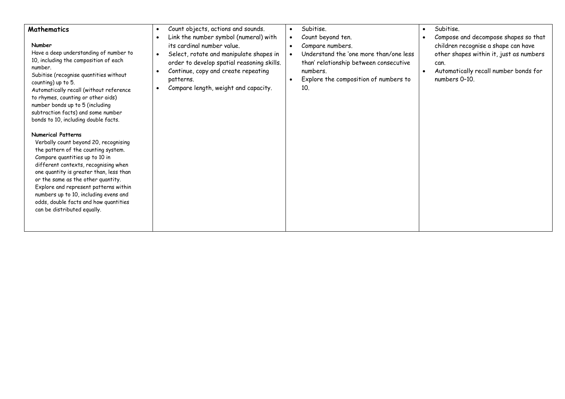| <b>Mathematics</b><br>Number<br>Have a deep understanding of number to<br>10, including the composition of each<br>number.<br>Subitise (recognise quantities without<br>counting) up to 5.<br>Automatically recall (without reference<br>to rhymes, counting or other aids)<br>number bonds up to 5 (including<br>subtraction facts) and some number<br>bonds to 10, including double facts.                                   | Count objects, actions and sounds.<br>$\bullet$<br>Link the number symbol (numeral) with<br>$\bullet$<br>its cardinal number value.<br>Select, rotate and manipulate shapes in<br>$\bullet$<br>order to develop spatial reasoning skills.<br>Continue, copy and create repeating<br>$\bullet$<br>patterns.<br>Compare length, weight and capacity.<br>$\bullet$ | Subitise.<br>$\bullet$<br>Count beyond ten.<br>$\bullet$<br>Compare numbers.<br>$\bullet$<br>Understand the 'one more than/one less<br>than' relationship between consecutive<br>numbers.<br>Explore the composition of numbers to<br>10 <sub>1</sub> | Subitise.<br>$\bullet$<br>Compose and decompose shapes so that<br>children recognise a shape can have<br>other shapes within it, just as numbers<br>can.<br>Automatically recall number bonds for<br>numbers 0-10. |
|--------------------------------------------------------------------------------------------------------------------------------------------------------------------------------------------------------------------------------------------------------------------------------------------------------------------------------------------------------------------------------------------------------------------------------|-----------------------------------------------------------------------------------------------------------------------------------------------------------------------------------------------------------------------------------------------------------------------------------------------------------------------------------------------------------------|-------------------------------------------------------------------------------------------------------------------------------------------------------------------------------------------------------------------------------------------------------|--------------------------------------------------------------------------------------------------------------------------------------------------------------------------------------------------------------------|
| <b>Numerical Patterns</b><br>Verbally count beyond 20, recognising<br>the pattern of the counting system.<br>Compare quantities up to 10 in<br>different contexts, recognising when<br>one quantity is greater than, less than<br>or the same as the other quantity.<br>Explore and represent patterns within<br>numbers up to 10, including evens and<br>odds, double facts and how quantities<br>can be distributed equally. |                                                                                                                                                                                                                                                                                                                                                                 |                                                                                                                                                                                                                                                       |                                                                                                                                                                                                                    |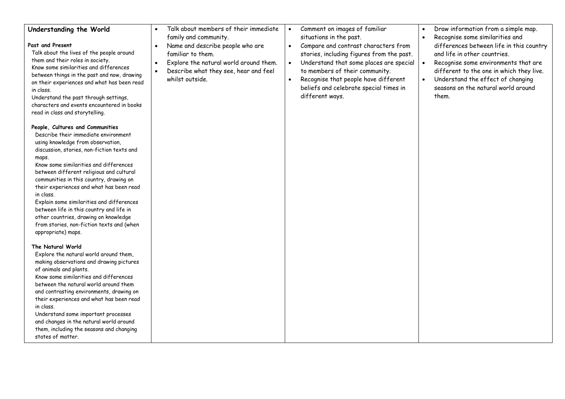| Understanding the World<br>Past and Present<br>Talk about the lives of the people around<br>them and their roles in society.<br>Know some similarities and differences<br>between things in the past and now, drawing<br>on their experiences and what has been read<br>in class.<br>Understand the past through settings,<br>characters and events encountered in books<br>read in class and storytelling.<br>People, Cultures and Communities<br>Describe their immediate environment<br>using knowledge from observation,<br>discussion, stories, non-fiction texts and<br>maps.<br>Know some similarities and differences<br>between different religious and cultural<br>communities in this country, drawing on<br>their experiences and what has been read<br>in class.<br>Explain some similarities and differences<br>between life in this country and life in<br>other countries, drawing on knowledge<br>from stories, non-fiction texts and (when<br>appropriate) maps.<br>The Natural World<br>Explore the natural world around them,<br>making observations and drawing pictures<br>of animals and plants.<br>Know some similarities and differences<br>between the natural world around them<br>and contrasting environments, drawing on | Talk about members of their immediate<br>$\bullet$<br>family and community.<br>Name and describe people who are<br>$\bullet$<br>familiar to them.<br>Explore the natural world around them.<br>$\bullet$<br>Describe what they see, hear and feel<br>$\bullet$<br>whilst outside. | Comment on images of familiar<br>$\bullet$<br>situations in the past.<br>Compare and contrast characters from<br>$\bullet$<br>stories, including figures from the past.<br>Understand that some places are special<br>$\bullet$<br>to members of their community.<br>Recognise that people have different<br>beliefs and celebrate special times in<br>different ways. | Draw information from a simple map.<br>$\bullet$<br>Recognise some similarities and<br>$\bullet$<br>differences between life in this country<br>and life in other countries.<br>$\bullet$<br>Recognise some environments that are<br>different to the one in which they live.<br>Understand the effect of changing<br>$\bullet$<br>seasons on the natural world around<br>them. |
|--------------------------------------------------------------------------------------------------------------------------------------------------------------------------------------------------------------------------------------------------------------------------------------------------------------------------------------------------------------------------------------------------------------------------------------------------------------------------------------------------------------------------------------------------------------------------------------------------------------------------------------------------------------------------------------------------------------------------------------------------------------------------------------------------------------------------------------------------------------------------------------------------------------------------------------------------------------------------------------------------------------------------------------------------------------------------------------------------------------------------------------------------------------------------------------------------------------------------------------------------------|-----------------------------------------------------------------------------------------------------------------------------------------------------------------------------------------------------------------------------------------------------------------------------------|------------------------------------------------------------------------------------------------------------------------------------------------------------------------------------------------------------------------------------------------------------------------------------------------------------------------------------------------------------------------|---------------------------------------------------------------------------------------------------------------------------------------------------------------------------------------------------------------------------------------------------------------------------------------------------------------------------------------------------------------------------------|
| their experiences and what has been read<br>in class.<br>Understand some important processes<br>and changes in the natural world around<br>them, including the seasons and changing<br>states of matter.                                                                                                                                                                                                                                                                                                                                                                                                                                                                                                                                                                                                                                                                                                                                                                                                                                                                                                                                                                                                                                               |                                                                                                                                                                                                                                                                                   |                                                                                                                                                                                                                                                                                                                                                                        |                                                                                                                                                                                                                                                                                                                                                                                 |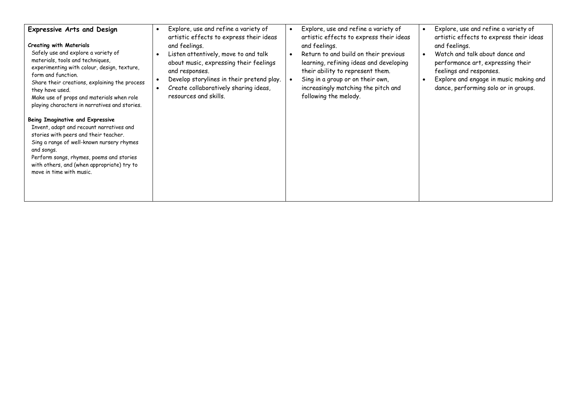| <b>Expressive Arts and Design</b><br><b>Creating with Materials</b><br>Safely use and explore a variety of<br>materials, tools and techniques,<br>experimenting with colour, design, texture,<br>form and function.<br>Share their creations, explaining the process<br>they have used.<br>Make use of props and materials when role<br>playing characters in narratives and stories.<br>Being Imaginative and Expressive<br>Invent, adapt and recount narratives and<br>stories with peers and their teacher.<br>Sing a range of well-known nursery rhymes<br>and songs.<br>Perform songs, rhymes, poems and stories<br>with others, and (when appropriate) try to<br>move in time with music. | Explore, use and refine a variety of<br>$\bullet$<br>artistic effects to express their ideas<br>and feelings.<br>Listen attentively, move to and talk<br>about music, expressing their feelings<br>and responses.<br>Develop storylines in their pretend play.<br>Create collaboratively sharing ideas,<br>resources and skills. | Explore, use and refine a variety of<br>artistic effects to express their ideas<br>and feelings.<br>Return to and build on their previous<br>learning, refining ideas and developing<br>their ability to represent them.<br>Sing in a group or on their own,<br>increasingly matching the pitch and<br>following the melody. | Explore, use and refine a variety of<br>$\bullet$<br>artistic effects to express their ideas<br>and feelings.<br>Watch and talk about dance and<br>$\bullet$<br>performance art, expressing their<br>feelings and responses.<br>Explore and engage in music making and<br>dance, performing solo or in groups. |
|-------------------------------------------------------------------------------------------------------------------------------------------------------------------------------------------------------------------------------------------------------------------------------------------------------------------------------------------------------------------------------------------------------------------------------------------------------------------------------------------------------------------------------------------------------------------------------------------------------------------------------------------------------------------------------------------------|----------------------------------------------------------------------------------------------------------------------------------------------------------------------------------------------------------------------------------------------------------------------------------------------------------------------------------|------------------------------------------------------------------------------------------------------------------------------------------------------------------------------------------------------------------------------------------------------------------------------------------------------------------------------|----------------------------------------------------------------------------------------------------------------------------------------------------------------------------------------------------------------------------------------------------------------------------------------------------------------|